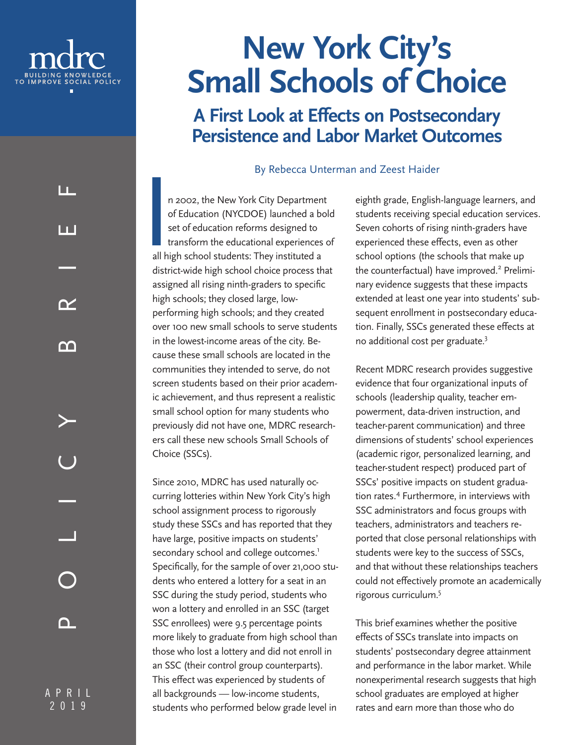

# **Small Schools of Choice**

## **A First Look at Effects on Postsecondary Persistence and Labor Market Outcomes**

By Rebecca Unterman and Zeest Haider

I n 2002, the New York City Department of Education (NYCDOE) launched a bold set of education reforms designed to transform the educational experiences of all high school students: They instituted a district-wide high school choice process that assigned all rising ninth-graders to specific high schools; they closed large, lowperforming high schools; and they created over 100 new small schools to serve students in the lowest-income areas of the city. Because these small schools are located in the communities they intended to serve, do not screen students based on their prior academic achievement, and thus represent a realistic small school option for many students who previously did not have one, MDRC researchers call these new schools Small Schools of Choice (SSCs). **EXERCT:**<br> **EXERCT:**<br> **EXERCT:**<br> **EXERCT:**<br> **EXERCT:**<br> **EXERCT:**<br> **EXERCT:**<br> **EXERCT:**<br> **EXERCT:**<br> **EXERCT:**<br> **EXERCT:**<br> **EXERCT:**<br> **EXERCT:**<br> **EXERCT:**<br> **EXERCT:**<br> **EXERCT:**<br> **EXERCT:**<br> **EXERCT:**<br> **EXERCT:**<br> **EXERCT:**<br> **E** 

Since 2010, MDRC has used naturally occurring lotteries within New York City's high school assignment process to rigorously study these SSCs and has reported that they have large, positive impacts on students' secondary school and college outcomes.<sup>1</sup> Specifically, for the sample of over 21,000 students who entered a lottery for a seat in an SSC during the study period, students who won a lottery and enrolled in an SSC (target SSC enrollees) were 9.5 percentage points more likely to graduate from high school than those who lost a lottery and did not enroll in an SSC (their control group counterparts). This effect was experienced by students of all backgrounds — low-income students, students who performed below grade level in

eighth grade, English-language learners, and students receiving special education services. Seven cohorts of rising ninth-graders have experienced these effects, even as other school options (the schools that make up the counterfactual) have improved.<sup>2</sup> Preliminary evidence suggests that these impacts extended at least one year into students' subsequent enrollment in postsecondary education. Finally, SSCs generated these effects at no additional cost per graduate.3

Recent MDRC research provides suggestive evidence that four organizational inputs of schools (leadership quality, teacher empowerment, data-driven instruction, and teacher-parent communication) and three dimensions of students' school experiences (academic rigor, personalized learning, and teacher-student respect) produced part of SSCs' positive impacts on student graduation rates.<sup>4</sup> Furthermore, in interviews with SSC administrators and focus groups with teachers, administrators and teachers reported that close personal relationships with students were key to the success of SSCs, and that without these relationships teachers could not effectively promote an academically rigorous curriculum.5

This brief examines whether the positive effects of SSCs translate into impacts on students' postsecondary degree attainment and performance in the labor market. While nonexperimental research suggests that high school graduates are employed at higher rates and earn more than those who do

A P R I L PLICY BRIEF 2019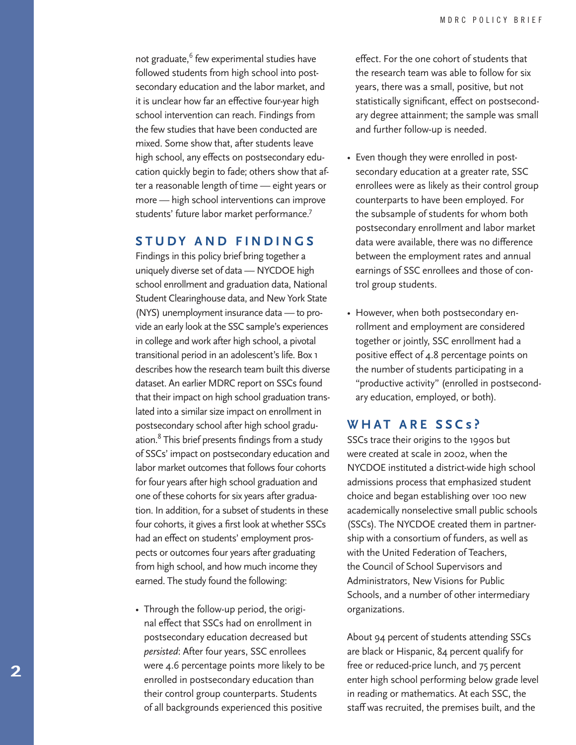not graduate,<sup>6</sup> few experimental studies have followed students from high school into postsecondary education and the labor market, and it is unclear how far an effective four-year high school intervention can reach. Findings from the few studies that have been conducted are mixed. Some show that, after students leave high school, any effects on postsecondary education quickly begin to fade; others show that after a reasonable length of time — eight years or more — high school interventions can improve students' future labor market performance.7

#### **STUDY AND FINDINGS**

Findings in this policy brief bring together a uniquely diverse set of data — NYCDOE high school enrollment and graduation data, National Student Clearinghouse data, and New York State (NYS) unemployment insurance data — to provide an early look at the SSC sample's experiences in college and work after high school, a pivotal transitional period in an adolescent's life. Box 1 describes how the research team built this diverse dataset. An earlier MDRC report on SSCs found that their impact on high school graduation translated into a similar size impact on enrollment in postsecondary school after high school graduation.<sup>8</sup> This brief presents findings from a study of SSCs' impact on postsecondary education and labor market outcomes that follows four cohorts for four years after high school graduation and one of these cohorts for six years after graduation. In addition, for a subset of students in these four cohorts, it gives a first look at whether SSCs had an effect on students' employment prospects or outcomes four years after graduating from high school, and how much income they earned. The study found the following:

• Through the follow-up period, the original effect that SSCs had on enrollment in postsecondary education decreased but *persisted*: After four years, SSC enrollees were 4.6 percentage points more likely to be enrolled in postsecondary education than their control group counterparts. Students of all backgrounds experienced this positive

effect. For the one cohort of students that the research team was able to follow for six years, there was a small, positive, but not statistically significant, effect on postsecondary degree attainment; the sample was small and further follow-up is needed.

- Even though they were enrolled in postsecondary education at a greater rate, SSC enrollees were as likely as their control group counterparts to have been employed. For the subsample of students for whom both postsecondary enrollment and labor market data were available, there was no difference between the employment rates and annual earnings of SSC enrollees and those of control group students.
- However, when both postsecondary enrollment and employment are considered together or jointly, SSC enrollment had a positive effect of 4.8 percentage points on the number of students participating in a "productive activity" (enrolled in postsecondary education, employed, or both).

#### **WHAT ARE SSC s ?**

SSCs trace their origins to the 1990s but were created at scale in 2002, when the NYCDOE instituted a district-wide high school admissions process that emphasized student choice and began establishing over 100 new academically nonselective small public schools (SSCs). The NYCDOE created them in partnership with a consortium of funders, as well as with the United Federation of Teachers, the Council of School Supervisors and Administrators, New Visions for Public Schools, and a number of other intermediary organizations.

About 94 percent of students attending SSCs are black or Hispanic, 84 percent qualify for free or reduced-price lunch, and 75 percent enter high school performing below grade level in reading or mathematics. At each SSC, the staff was recruited, the premises built, and the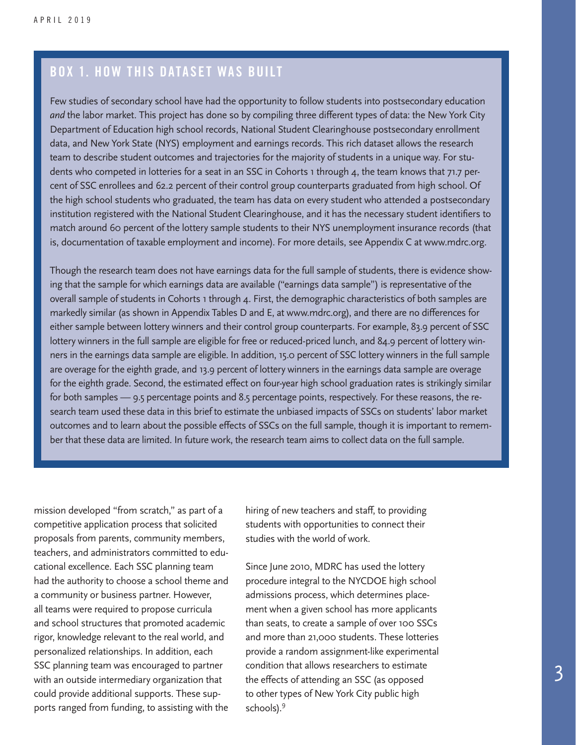#### BOX 1. HOW THIS DATASET WAS BUILT

Few studies of secondary school have had the opportunity to follow students into postsecondary education *and* the labor market. This project has done so by compiling three different types of data: the New York City Department of Education high school records, National Student Clearinghouse postsecondary enrollment data, and New York State (NYS) employment and earnings records. This rich dataset allows the research team to describe student outcomes and trajectories for the majority of students in a unique way. For students who competed in lotteries for a seat in an SSC in Cohorts 1 through 4, the team knows that 71.7 percent of SSC enrollees and 62.2 percent of their control group counterparts graduated from high school. Of the high school students who graduated, the team has data on every student who attended a postsecondary institution registered with the National Student Clearinghouse, and it has the necessary student identifiers to match around 60 percent of the lottery sample students to their NYS unemployment insurance records (that is, documentation of taxable employment and income). For more details, see Appendix C at www.mdrc.org.

Though the research team does not have earnings data for the full sample of students, there is evidence showing that the sample for which earnings data are available ("earnings data sample") is representative of the overall sample of students in Cohorts 1 through 4. First, the demographic characteristics of both samples are markedly similar (as shown in Appendix Tables D and E, at www.mdrc.org), and there are no differences for either sample between lottery winners and their control group counterparts. For example, 83.9 percent of SSC lottery winners in the full sample are eligible for free or reduced-priced lunch, and 84.9 percent of lottery winners in the earnings data sample are eligible. In addition, 15.0 percent of SSC lottery winners in the full sample are overage for the eighth grade, and 13.9 percent of lottery winners in the earnings data sample are overage for the eighth grade. Second, the estimated effect on four-year high school graduation rates is strikingly similar for both samples — 9.5 percentage points and 8.5 percentage points, respectively. For these reasons, the research team used these data in this brief to estimate the unbiased impacts of SSCs on students' labor market outcomes and to learn about the possible effects of SSCs on the full sample, though it is important to remember that these data are limited. In future work, the research team aims to collect data on the full sample.

mission developed "from scratch," as part of a competitive application process that solicited proposals from parents, community members, teachers, and administrators committed to educational excellence. Each SSC planning team had the authority to choose a school theme and a community or business partner. However, all teams were required to propose curricula and school structures that promoted academic rigor, knowledge relevant to the real world, and personalized relationships. In addition, each SSC planning team was encouraged to partner with an outside intermediary organization that could provide additional supports. These supports ranged from funding, to assisting with the

hiring of new teachers and staff, to providing students with opportunities to connect their studies with the world of work.

Since June 2010, MDRC has used the lottery procedure integral to the NYCDOE high school admissions process, which determines placement when a given school has more applicants than seats, to create a sample of over 100 SSCs and more than 21,000 students. These lotteries provide a random assignment-like experimental condition that allows researchers to estimate the effects of attending an SSC (as opposed to other types of New York City public high schools).<sup>9</sup>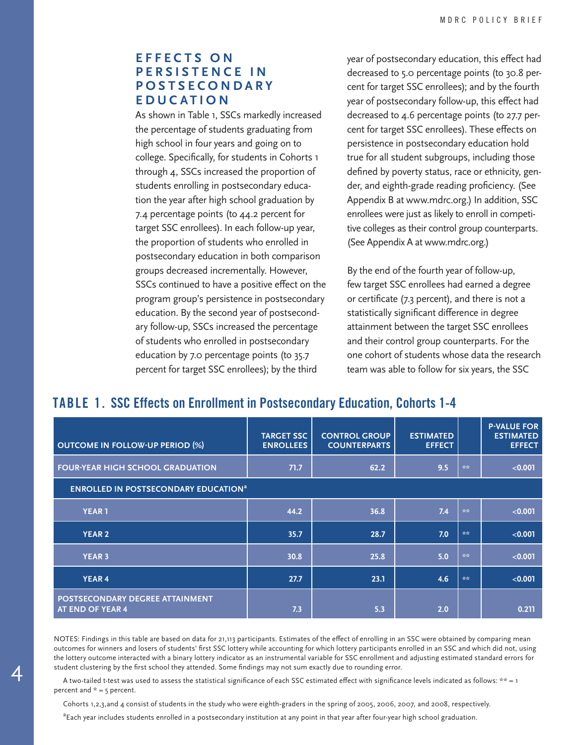#### **E F F E C T S O N P E R S I S T E N C E I N P O S T S E C O N D A R Y EDUCATION**

As shown in Table 1, SSCs markedly increased the percentage of students graduating from high school in four years and going on to college. Specifically, for students in Cohorts 1 through 4, SSCs increased the proportion of students enrolling in postsecondary education the year after high school graduation by 7.4 percentage points (to 44.2 percent for target SSC enrollees). In each follow-up year, the proportion of students who enrolled in postsecondary education in both comparison groups decreased incrementally. However, SSCs continued to have a positive effect on the program group's persistence in postsecondary education. By the second year of postsecondary follow-up, SSCs increased the percentage of students who enrolled in postsecondary education by 7.0 percentage points (to 35.7 percent for target SSC enrollees); by the third

year of postsecondary education, this effect had decreased to 5.0 percentage points (to 30.8 percent for target SSC enrollees); and by the fourth year of postsecondary follow-up, this effect had decreased to 4.6 percentage points (to 27.7 percent for target SSC enrollees). These effects on persistence in postsecondary education hold true for all student subgroups, including those defined by poverty status, race or ethnicity, gender, and eighth-grade reading proficiency. (See Appendix B at www.mdrc.org.) In addition, SSC enrollees were just as likely to enroll in competitive colleges as their control group counterparts. (See Appendix A at www.mdrc.org.)

By the end of the fourth year of follow-up, few target SSC enrollees had earned a degree or certificate (7.3 percent), and there is not a statistically significant difference in degree attainment between the target SSC enrollees and their control group counterparts. For the one cohort of students whose data the research team was able to follow for six years, the SSC

#### TABLE 1. SSC Effects on Enrollment in Postsecondary Education, Cohorts 1-4

| <b>OUTCOME IN FOLLOW-UP PERIOD (%)</b>                 | <b>TARGET SSC</b><br><b>ENROLLEES</b> | <b>CONTROL GROUP</b><br><b>COUNTERPARTS</b> | <b>ESTIMATED</b><br><b>EFFECT</b> |     | <b>P-VALUE FOR</b><br><b>ESTIMATED</b><br><b>EFFECT</b> |  |  |  |
|--------------------------------------------------------|---------------------------------------|---------------------------------------------|-----------------------------------|-----|---------------------------------------------------------|--|--|--|
| <b>FOUR-YEAR HIGH SCHOOL GRADUATION</b>                | 71.7                                  | 62.2                                        | 9.5                               | 会会。 | < 0.001                                                 |  |  |  |
| <b>ENROLLED IN POSTSECONDARY EDUCATION<sup>a</sup></b> |                                       |                                             |                                   |     |                                                         |  |  |  |
| <b>YEAR 1</b>                                          | 44.2                                  | 36.8                                        | 7.4                               | 会会。 | < 0.001                                                 |  |  |  |
| <b>YEAR 2</b>                                          | 35.7                                  | 28.7                                        | 7.0                               | 会会  | < 0.001                                                 |  |  |  |
| <b>YEAR 3</b>                                          | 30.8                                  | 25.8                                        | 5.0                               | 会会。 | < 0.001                                                 |  |  |  |
| <b>YEAR 4</b>                                          | 27.7                                  | 23.1                                        | 4.6                               | 会会  | < 0.001                                                 |  |  |  |
| POSTSECONDARY DEGREE ATTAINMENT<br>AT END OF YEAR 4    | 7.3                                   | 5.3                                         | 2.0                               |     | 0.211                                                   |  |  |  |

NOTES: Findings in this table are based on data for 21,113 participants. Estimates of the effect of enrolling in an SSC were obtained by comparing mean outcomes for winners and losers of students' first SSC lottery while accounting for which lottery participants enrolled in an SSC and which did not, using the lottery outcome interacted with a binary lottery indicator as an instrumental variable for SSC enrollment and adjusting estimated standard errors for student clustering by the first school they attended. Some findings may not sum exactly due to rounding error.

 A two-tailed t-test was used to assess the statistical significance of each SSC estimated effect with significance levels indicated as follows: \*\* = 1 percent and  $* = 5$  percent.

Cohorts 1,2,3,and 4 consist of students in the study who were eighth-graders in the spring of 2005, 2006, 2007, and 2008, respectively.

<sup>a</sup> Each year includes students enrolled in a postsecondary institution at any point in that year after four-year high school graduation.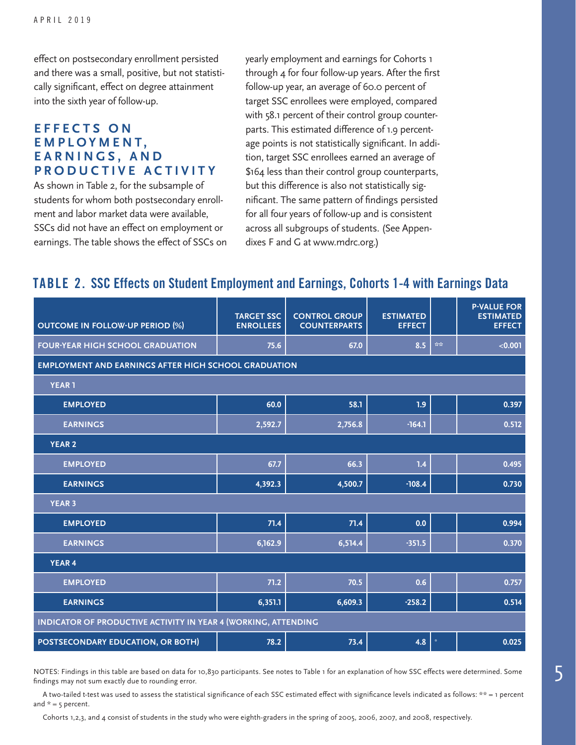effect on postsecondary enrollment persisted and there was a small, positive, but not statistically significant, effect on degree attainment into the sixth year of follow-up.

#### **E F F E C T S O N E M P L O Y M E N T , E A R N I N G S , A N D PRODUCTIVE ACTIVITY**

As shown in Table 2, for the subsample of students for whom both postsecondary enrollment and labor market data were available, SSCs did not have an effect on employment or earnings. The table shows the effect of SSCs on yearly employment and earnings for Cohorts 1 through 4 for four follow-up years. After the first follow-up year, an average of 60.0 percent of target SSC enrollees were employed, compared with 58.1 percent of their control group counterparts. This estimated difference of 1.9 percentage points is not statistically significant. In addition, target SSC enrollees earned an average of \$164 less than their control group counterparts, but this difference is also not statistically significant. The same pattern of findings persisted for all four years of follow-up and is consistent across all subgroups of students. (See Appendixes F and G at www.mdrc.org.)

#### TABLE 2. SSC Effects on Student Employment and Earnings, Cohorts 1-4 with Earnings Data

| <b>OUTCOME IN FOLLOW-UP PERIOD (%)</b>                         | <b>TARGET SSC</b><br><b>ENROLLEES</b> | <b>CONTROL GROUP</b><br><b>COUNTERPARTS</b> | <b>ESTIMATED</b><br><b>EFFECT</b> |    | <b>P-VALUE FOR</b><br><b>ESTIMATED</b><br><b>EFFECT</b> |  |  |  |
|----------------------------------------------------------------|---------------------------------------|---------------------------------------------|-----------------------------------|----|---------------------------------------------------------|--|--|--|
| <b>FOUR-YEAR HIGH SCHOOL GRADUATION</b>                        | 75.6                                  | 67.0                                        | 8.5                               | 会会 | < 0.001                                                 |  |  |  |
| <b>EMPLOYMENT AND EARNINGS AFTER HIGH SCHOOL GRADUATION</b>    |                                       |                                             |                                   |    |                                                         |  |  |  |
| <b>YEAR1</b>                                                   |                                       |                                             |                                   |    |                                                         |  |  |  |
| <b>EMPLOYED</b>                                                | 60.0                                  | 58.1                                        | 1.9                               |    | 0.397                                                   |  |  |  |
| <b>EARNINGS</b>                                                | 2,592.7                               | 2,756.8                                     | $-164.1$                          |    | 0.512                                                   |  |  |  |
| <b>YEAR 2</b>                                                  |                                       |                                             |                                   |    |                                                         |  |  |  |
| <b>EMPLOYED</b>                                                | 67.7                                  | 66.3                                        | 1.4                               |    | 0.495                                                   |  |  |  |
| <b>EARNINGS</b>                                                | 4,392.3                               | 4,500.7                                     | $-108.4$                          |    | 0.730                                                   |  |  |  |
| <b>YEAR 3</b>                                                  |                                       |                                             |                                   |    |                                                         |  |  |  |
| <b>EMPLOYED</b>                                                | 71.4                                  | 71.4                                        | 0.0                               |    | 0.994                                                   |  |  |  |
| <b>EARNINGS</b>                                                | 6,162.9                               | 6,514.4                                     | $-351.5$                          |    | 0.370                                                   |  |  |  |
| <b>YEAR 4</b>                                                  |                                       |                                             |                                   |    |                                                         |  |  |  |
| <b>EMPLOYED</b>                                                | 71.2                                  | 70.5                                        | 0.6                               |    | 0.757                                                   |  |  |  |
| <b>EARNINGS</b>                                                | 6,351.1                               | 6,609.3                                     | $-258.2$                          |    | 0.514                                                   |  |  |  |
| INDICATOR OF PRODUCTIVE ACTIVITY IN YEAR 4 (WORKING, ATTENDING |                                       |                                             |                                   |    |                                                         |  |  |  |
| POSTSECONDARY EDUCATION, OR BOTH)                              | 78.2                                  | 73.4                                        | 4.8                               |    | 0.025                                                   |  |  |  |

NOTES: Findings in this table are based on data for 10,830 participants. See notes to Table 1 for an explanation of how SSC effects were determined. Some findings may not sum exactly due to rounding error.

 A two-tailed t-test was used to assess the statistical significance of each SSC estimated effect with significance levels indicated as follows: \*\* = 1 percent and  $* = 5$  percent.

Cohorts 1,2,3, and 4 consist of students in the study who were eighth-graders in the spring of 2005, 2006, 2007, and 2008, respectively.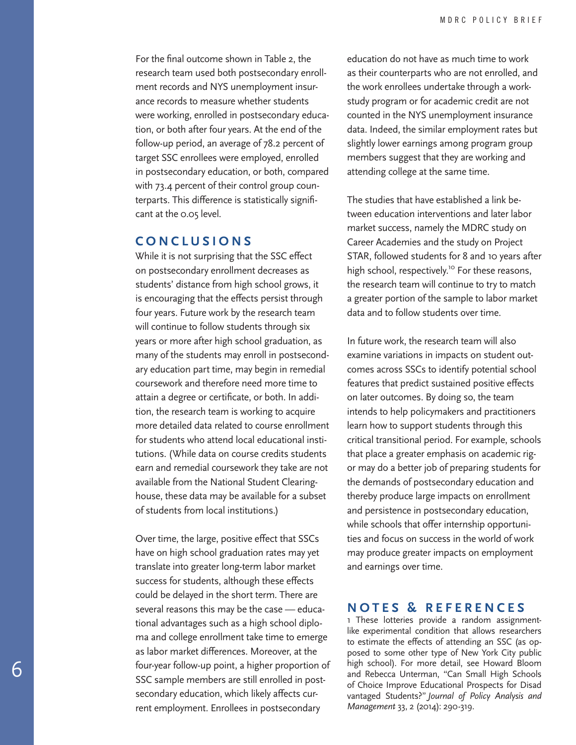For the final outcome shown in Table 2, the research team used both postsecondary enroll ment records and NYS unemployment insurance records to measure whether students were working, enrolled in postsecondary educa tion, or both after four years. At the end of the follow-up period, an average of 78.2 percent of target SSC enrollees were employed, enrolled in postsecondary education, or both, compared with 73.4 percent of their control group coun terparts. This difference is statistically signifi cant at the 0.05 level.

#### **CONCLUSIONS**

While it is not surprising that the SSC effect on postsecondary enrollment decreases as students' distance from high school grows, it is encouraging that the effects persist through four years. Future work by the research team will continue to follow students through six years or more after high school graduation, as many of the students may enroll in postsecond ary education part time, may begin in remedial coursework and therefore need more time to attain a degree or certificate, or both. In addi tion, the research team is working to acquire more detailed data related to course enrollment for students who attend local educational insti tutions. (While data on course credits students earn and remedial coursework they take are not available from the National Student Clearing house, these data may be available for a subset of students from local institutions.)

Over time, the large, positive effect that SSCs have on high school graduation rates may yet translate into greater long-term labor market success for students, although these effects could be delayed in the short term. There are several reasons this may be the case — educa tional advantages such as a high school diplo ma and college enrollment take time to emerge as labor market differences. Moreover, at the four-year follow-up point, a higher proportion of SSC sample members are still enrolled in post secondary education, which likely affects current employment. Enrollees in postsecondary

education do not have as much time to work as their counterparts who are not enrolled, and the work enrollees undertake through a workstudy program or for academic credit are not counted in the NYS unemployment insurance data. Indeed, the similar employment rates but slightly lower earnings among program group members suggest that they are working and attending college at the same time.

The studies that have established a link be tween education interventions and later labor market success, namely the MDRC study on Career Academies and the study on Project STAR, followed students for 8 and 10 years after high school, respectively.<sup>10</sup> For these reasons, the research team will continue to try to match a greater portion of the sample to labor market data and to follow students over time.

In future work, the research team will also examine variations in impacts on student out comes across SSCs to identify potential school features that predict sustained positive effects on later outcomes. By doing so, the team intends to help policymakers and practitioners learn how to support students through this critical transitional period. For example, schools that place a greater emphasis on academic rig or may do a better job of preparing students for the demands of postsecondary education and thereby produce large impacts on enrollment and persistence in postsecondary education, while schools that offer internship opportuni ties and focus on success in the world of work may produce greater impacts on employment and earnings over time.

#### **NOTES & REFERENCES**

1 These lotteries provide a random assignmentlike experimental condition that allows researchers to estimate the effects of attending an SSC (as op posed to some other type of New York City public high school). For more detail, see Howard Bloom and Rebecca Unterman, "Can Small High Schools of Choice Improve Educational Prospects for Disad vantaged Students?" *Journal of Policy Analysis and Management* 33, 2 (2014): 290-319.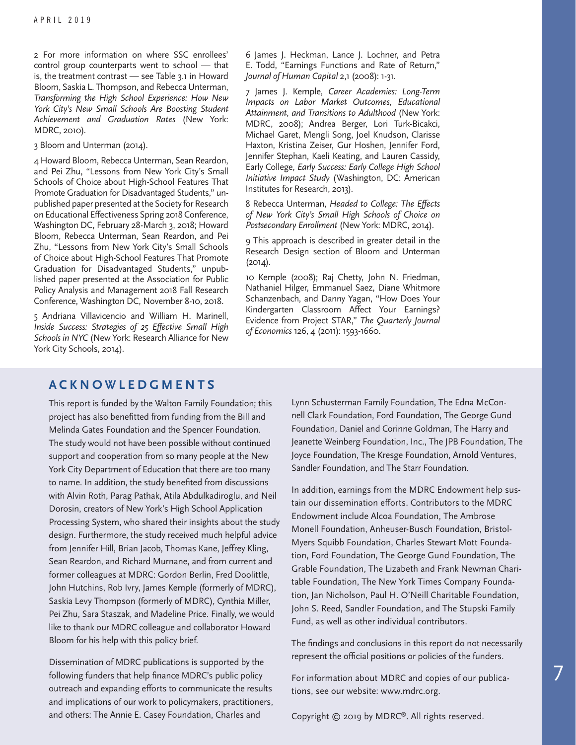2 For more information on where SSC enrollees' control group counterparts went to school — that is, the treatment contrast — see Table 3.1 in Howard Bloom, Saskia L. Thompson, and Rebecca Unterman, *Transforming the High School Experience: How New York City's New Small Schools Are Boosting Student Achievement and Graduation Rates* (New York: MDRC, 2010).

3 Bloom and Unterman (2014).

4 Howard Bloom, Rebecca Unterman, Sean Reardon, and Pei Zhu, "Lessons from New York City's Small Schools of Choice about High-School Features That Promote Graduation for Disadvantaged Students," unpublished paper presented at the Society for Research on Educational Effectiveness Spring 2018 Conference, Washington DC, February 28-March 3, 2018; Howard Bloom, Rebecca Unterman, Sean Reardon, and Pei Zhu, "Lessons from New York City's Small Schools of Choice about High-School Features That Promote Graduation for Disadvantaged Students," unpublished paper presented at the Association for Public Policy Analysis and Management 2018 Fall Research Conference, Washington DC, November 8-10, 2018.

5 Andriana Villavicencio and William H. Marinell, *Inside Success: Strategies of 25 Effective Small High Schools in NYC* (New York: Research Alliance for New York City Schools, 2014).

6 James J. Heckman, Lance J. Lochner, and Petra E. Todd, "Earnings Functions and Rate of Return," *Journal of Human Capital* 2,1 (2008): 1-31.

7 James J. Kemple, *Career Academies: Long-Term Impacts on Labor Market Outcomes, Educational Attainment, and Transitions to Adulthood* (New York: MDRC, 2008); Andrea Berger, Lori Turk-Bicakci, Michael Garet, Mengli Song, Joel Knudson, Clarisse Haxton, Kristina Zeiser, Gur Hoshen, Jennifer Ford, Jennifer Stephan, Kaeli Keating, and Lauren Cassidy, Early College, *Early Success: Early College High School Initiative Impact Study* (Washington, DC: American Institutes for Research, 2013).

8 Rebecca Unterman, *Headed to College: The Effects of New York City's Small High Schools of Choice on Postsecondary Enrollment* (New York: MDRC, 2014).

9 This approach is described in greater detail in the Research Design section of Bloom and Unterman (2014).

10 Kemple (2008); Raj Chetty, John N. Friedman, Nathaniel Hilger, Emmanuel Saez, Diane Whitmore Schanzenbach, and Danny Yagan, "How Does Your Kindergarten Classroom Affect Your Earnings? Evidence from Project STAR," *The Quarterly Journal of Economics* 126, 4 (2011): 1593-1660.

#### **ACKNOWLEDGMENTS**

This report is funded by the Walton Family Foundation; this project has also benefitted from funding from the Bill and Melinda Gates Foundation and the Spencer Foundation. The study would not have been possible without continued support and cooperation from so many people at the New York City Department of Education that there are too many to name. In addition, the study benefited from discussions with Alvin Roth, Parag Pathak, Atila Abdulkadiroglu, and Neil Dorosin, creators of New York's High School Application Processing System, who shared their insights about the study design. Furthermore, the study received much helpful advice from Jennifer Hill, Brian Jacob, Thomas Kane, Jeffrey Kling, Sean Reardon, and Richard Murnane, and from current and former colleagues at MDRC: Gordon Berlin, Fred Doolittle, John Hutchins, Rob Ivry, James Kemple (formerly of MDRC), Saskia Levy Thompson (formerly of MDRC), Cynthia Miller, Pei Zhu, Sara Staszak, and Madeline Price. Finally, we would like to thank our MDRC colleague and collaborator Howard Bloom for his help with this policy brief.

Dissemination of MDRC publications is supported by the following funders that help finance MDRC's public policy outreach and expanding efforts to communicate the results and implications of our work to policymakers, practitioners, and others: The Annie E. Casey Foundation, Charles and

Lynn Schusterman Family Foundation, The Edna McConnell Clark Foundation, Ford Foundation, The George Gund Foundation, Daniel and Corinne Goldman, The Harry and Jeanette Weinberg Foundation, Inc., The JPB Foundation, The Joyce Foundation, The Kresge Foundation, Arnold Ventures, Sandler Foundation, and The Starr Foundation.

In addition, earnings from the MDRC Endowment help sustain our dissemination efforts. Contributors to the MDRC Endowment include Alcoa Foundation, The Ambrose Monell Foundation, Anheuser-Busch Foundation, Bristol-Myers Squibb Foundation, Charles Stewart Mott Foundation, Ford Foundation, The George Gund Foundation, The Grable Foundation, The Lizabeth and Frank Newman Charitable Foundation, The New York Times Company Foundation, Jan Nicholson, Paul H. O'Neill Charitable Foundation, John S. Reed, Sandler Foundation, and The Stupski Family Fund, as well as other individual contributors.

The findings and conclusions in this report do not necessarily represent the official positions or policies of the funders.

For information about MDRC and copies of our publications, see our website: www.mdrc.org.

Copyright © 2019 by MDRC®. All rights reserved.